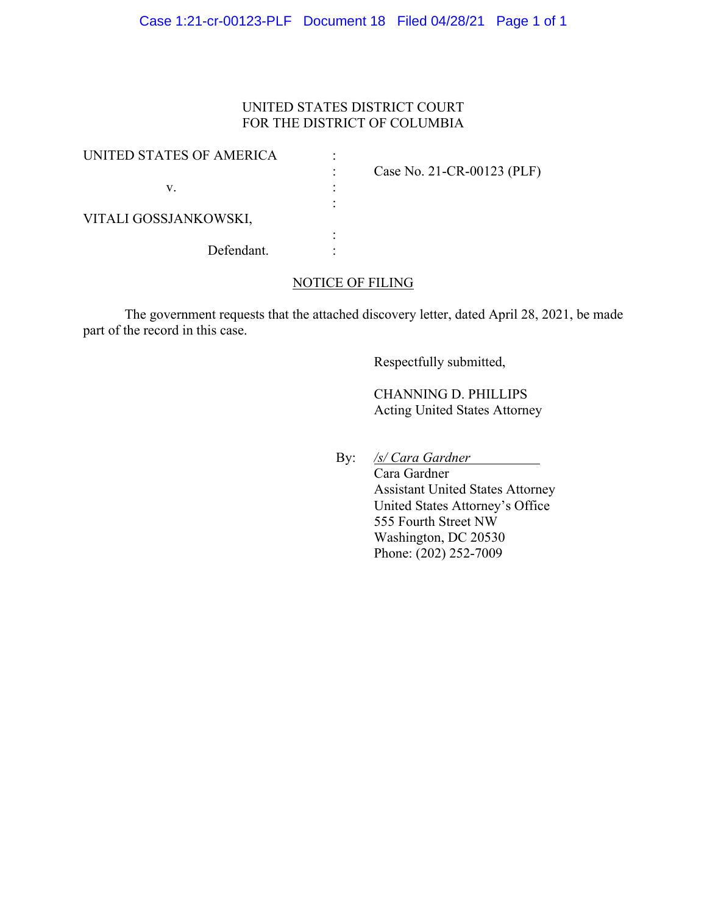## UNITED STATES DISTRICT COURT FOR THE DISTRICT OF COLUMBIA

| UNITED STATES OF AMERICA |                            |
|--------------------------|----------------------------|
|                          | Case No. 21-CR-00123 (PLF) |
| v.                       |                            |
|                          |                            |
| VITALI GOSSJANKOWSKI,    |                            |
|                          |                            |
| Defendant.               |                            |

#### NOTICE OF FILING

The government requests that the attached discovery letter, dated April 28, 2021, be made part of the record in this case.

Respectfully submitted,

 CHANNING D. PHILLIPS Acting United States Attorney

By: */s/ Cara Gardner*

 Cara Gardner Assistant United States Attorney United States Attorney's Office 555 Fourth Street NW Washington, DC 20530 Phone: (202) 252-7009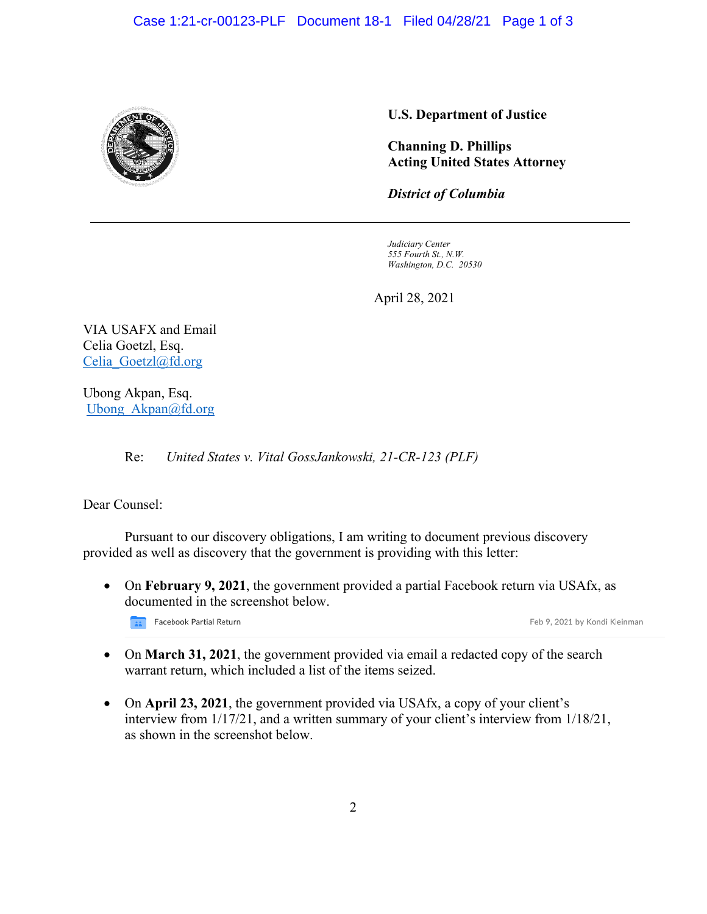

## **U.S. Department of Justice**

**Channing D. Phillips Acting United States Attorney**

*District of Columbia*

*Judiciary Center 555 Fourth St., N.W. Washington, D.C. 20530*

April 28, 2021

VIA USAFX and Email Celia Goetzl, Esq. Celia Goetzl@fd.org

Ubong Akpan, Esq. Ubong Akpan@fd.org

Re: *United States v. Vital GossJankowski, 21-CR-123 (PLF)* 

Dear Counsel:

Pursuant to our discovery obligations, I am writing to document previous discovery provided as well as discovery that the government is providing with this letter:

• On **February 9, 2021**, the government provided a partial Facebook return via USAfx, as documented in the screenshot below.

Facebook Partial Return

Feb 9, 2021 by Kondi Kleinman

- On **March 31, 2021**, the government provided via email a redacted copy of the search warrant return, which included a list of the items seized.
- On **April 23, 2021**, the government provided via USAfx, a copy of your client's interview from 1/17/21, and a written summary of your client's interview from 1/18/21, as shown in the screenshot below.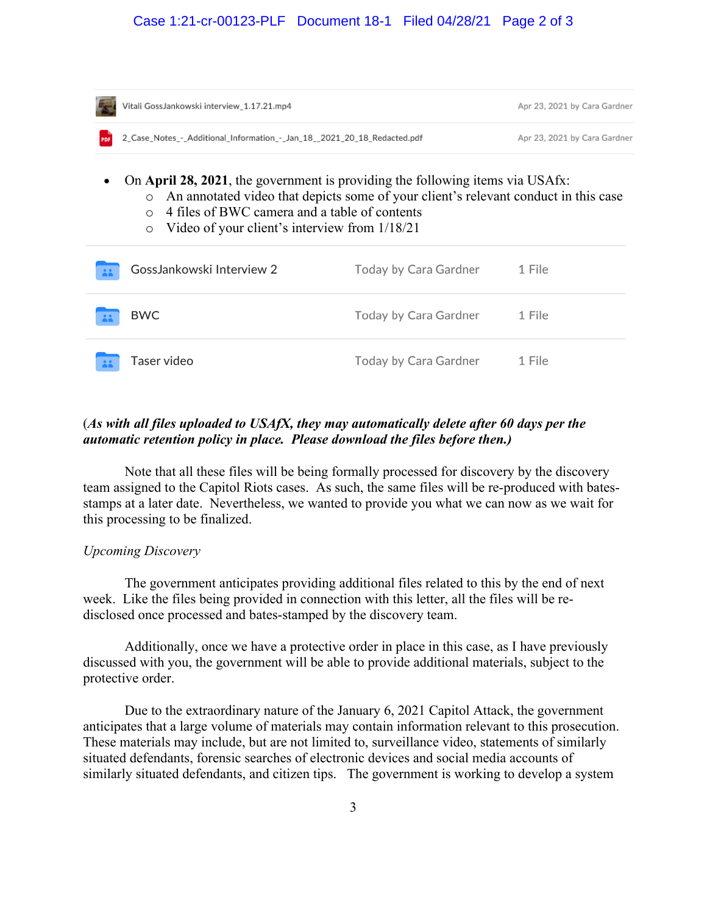| Vitali GossJankowski interview_1.17.21.mp4                                                                                                                                                                                                                                                               |                       | Apr 23, 2021 by Cara Gardner |  |
|----------------------------------------------------------------------------------------------------------------------------------------------------------------------------------------------------------------------------------------------------------------------------------------------------------|-----------------------|------------------------------|--|
| 2_Case_Notes_-_Additional_Information_-_Jan_18_2021_20_18_Redacted.pdf<br>PDF                                                                                                                                                                                                                            |                       | Apr 23, 2021 by Cara Gardner |  |
| On April 28, 2021, the government is providing the following items via USAfx:<br>An annotated video that depicts some of your client's relevant conduct in this case<br>$\circ$<br>4 files of BWC camera and a table of contents<br>$\Omega$<br>Video of your client's interview from 1/18/21<br>$\circ$ |                       |                              |  |
| GossJankowski Interview 2                                                                                                                                                                                                                                                                                | Today by Cara Gardner | 1 File                       |  |
| <b>BWC</b>                                                                                                                                                                                                                                                                                               | Today by Cara Gardner | 1 File                       |  |
| Taser video                                                                                                                                                                                                                                                                                              | Today by Cara Gardner | 1 File                       |  |

# (*As with all files uploaded to USAfX, they may automatically delete after 60 days per the automatic retention policy in place. Please download the files before then.)*

Note that all these files will be being formally processed for discovery by the discovery team assigned to the Capitol Riots cases. As such, the same files will be re-produced with batesstamps at a later date. Nevertheless, we wanted to provide you what we can now as we wait for this processing to be finalized.

#### *Upcoming Discovery*

The government anticipates providing additional files related to this by the end of next week. Like the files being provided in connection with this letter, all the files will be redisclosed once processed and bates-stamped by the discovery team.

Additionally, once we have a protective order in place in this case, as I have previously discussed with you, the government will be able to provide additional materials, subject to the protective order.

Due to the extraordinary nature of the January 6, 2021 Capitol Attack, the government anticipates that a large volume of materials may contain information relevant to this prosecution. These materials may include, but are not limited to, surveillance video, statements of similarly situated defendants, forensic searches of electronic devices and social media accounts of similarly situated defendants, and citizen tips. The government is working to develop a system